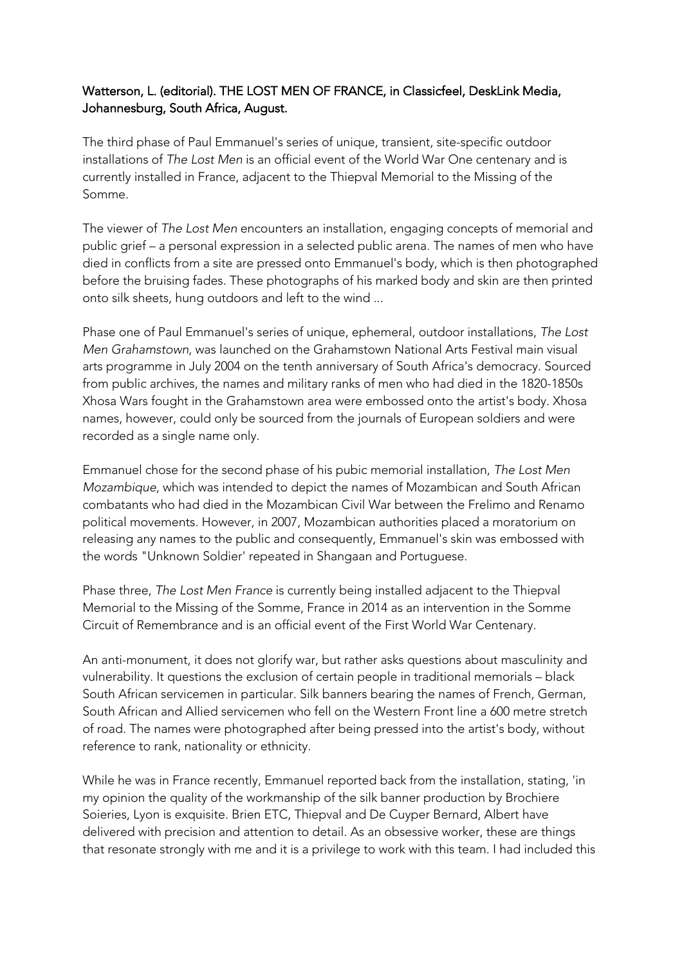## Watterson, L. (editorial). THE LOST MEN OF FRANCE, in Classicfeel, DeskLink Media, Johannesburg, South Africa, August.

The third phase of Paul Emmanuel's series of unique, transient, site-specific outdoor installations of *The Lost Men* is an official event of the World War One centenary and is currently installed in France, adjacent to the Thiepval Memorial to the Missing of the Somme.

The viewer of *The Lost Men* encounters an installation, engaging concepts of memorial and public grief – a personal expression in a selected public arena. The names of men who have died in conflicts from a site are pressed onto Emmanuel's body, which is then photographed before the bruising fades. These photographs of his marked body and skin are then printed onto silk sheets, hung outdoors and left to the wind ...

Phase one of Paul Emmanuel's series of unique, ephemeral, outdoor installations, *The Lost Men Grahamstown*, was launched on the Grahamstown National Arts Festival main visual arts programme in July 2004 on the tenth anniversary of South Africa's democracy. Sourced from public archives, the names and military ranks of men who had died in the 1820-1850s Xhosa Wars fought in the Grahamstown area were embossed onto the artist's body. Xhosa names, however, could only be sourced from the journals of European soldiers and were recorded as a single name only.

Emmanuel chose for the second phase of his pubic memorial installation, *The Lost Men Mozambique*, which was intended to depict the names of Mozambican and South African combatants who had died in the Mozambican Civil War between the Frelimo and Renamo political movements. However, in 2007, Mozambican authorities placed a moratorium on releasing any names to the public and consequently, Emmanuel's skin was embossed with the words "Unknown Soldier' repeated in Shangaan and Portuguese.

Phase three, *The Lost Men France* is currently being installed adjacent to the Thiepval Memorial to the Missing of the Somme, France in 2014 as an intervention in the Somme Circuit of Remembrance and is an official event of the First World War Centenary.

An anti-monument, it does not glorify war, but rather asks questions about masculinity and vulnerability. It questions the exclusion of certain people in traditional memorials – black South African servicemen in particular. Silk banners bearing the names of French, German, South African and Allied servicemen who fell on the Western Front line a 600 metre stretch of road. The names were photographed after being pressed into the artist's body, without reference to rank, nationality or ethnicity.

While he was in France recently, Emmanuel reported back from the installation, stating, 'in my opinion the quality of the workmanship of the silk banner production by Brochiere Soieries, Lyon is exquisite. Brien ETC, Thiepval and De Cuyper Bernard, Albert have delivered with precision and attention to detail. As an obsessive worker, these are things that resonate strongly with me and it is a privilege to work with this team. I had included this